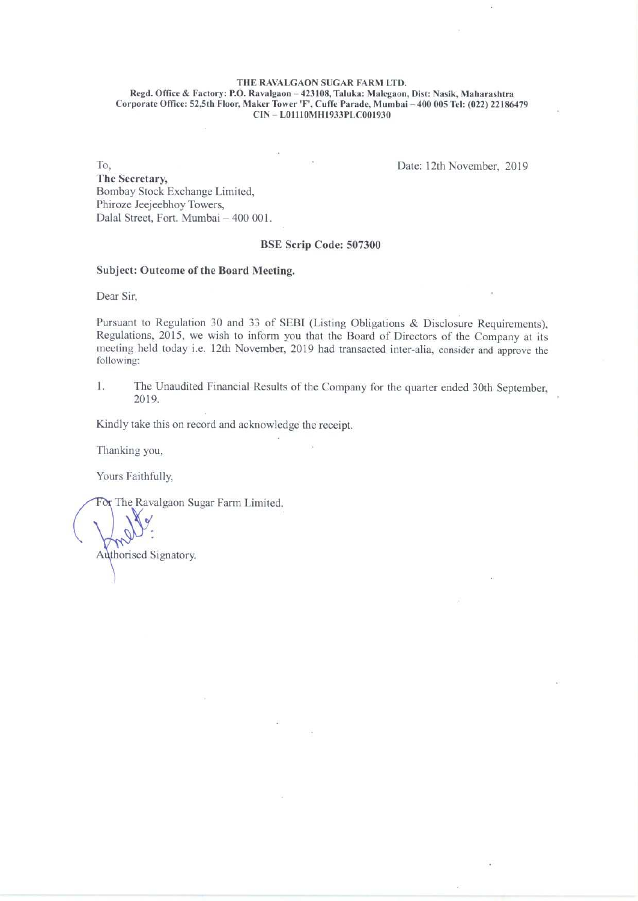## THE RAVALGAON SUGAR FARM LTD.

Regd. Office & Factory: P.O, Ravalgaon — 423108, Taluka: Malegaon, Dist: Nasik, Maharashtra Corporate Office: 52,5th Floor, Maker Tower 'F', Cuffe Parade, Mumbai — 400 005 Tel: (022) 22186479 CIN — L01110MH1933PLC001930

To, **Date: 12th November, 2019** The Secretary, Bombay Stock Exchange Limited, Phiroze Jeejeebhoy Towers, Dalal Street, Fort. Mumbai — 400 001.

BSE Scrip Code: 507300

### Subject: Outcome of the Board Meeting.

Dear Sir,

Pursuant to Regulation 30 and 33 of SEBI (Listing Obligations & Disclosure Requirements), Regulations, 2015, we wish to inform you that the Board of Directors of the Company at its meeting held today i.e. 12th November, 2019 had transacted inter-alia, consider and approve the following:

1. The Unaudited Financial Results of the Company for the quarter ended 30th September, 2019.

Kindly take this on record and acknowledge the receipt.

Thanking you,

Yours Faithfully,

The Ravalgaon Sugar Farm Limited.

Authorised Signatory.

i.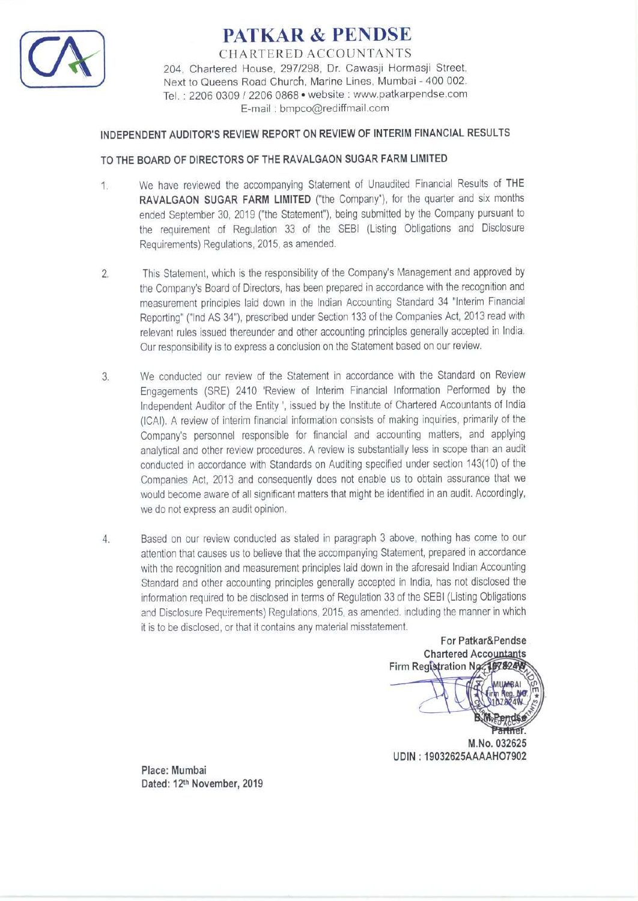

# PATKAR & PENDSE

CHARTERED ACCOUNTANTS 204, Chartered House, 297/298, Dr. Cawasji Hormasji Street, Next to Queens Road Church, Marine Lines, Mumbai - 400 002. Tel. : 2206 0309 / 2206 0868 \* website : www.patkarpendse.com E-mail : bnpco@rediffmail.com

# INDEPENDENT AUDITOR'S REVIEW REPORT ON REVIEW OF INTERIM FINANCIAL RESULTS

## TO THE BOARD OF DIRECTORS OF THE RAVALGAON SUGAR FARM LIMITED

- 1. We have reviewed the accompanying Statement of Unaudited Financial Results of THE RAVALGAON SUGAR FARM LIMITED ("the Company"), for the quarter and six months ended September 30, 2019 ("the Statement"), being submitted by the Company pursuant to the requirement of Regulation 33 of the SEBI (Listing Obligations and Disclosure Requirements) Regulations, 2015, as amended.
- This Statement, which is the responsibility of the Company's Management and approved by  $\overline{2}$ . the Company's Board of Directors, has been prepared in accordance with the recognition and measurement principles laid down in the Indian Accounting Standard 34 "Interim Financial Reporting" ("Ind AS 34"), prescribed under Section 133 of the Companies Act, 2013 read with relevant rules issued thereunder and other accounting principles generally accepted in India. Our responsibility is to express a conclusion on the Statement based on our review.
- We conducted our review of the Statement in accordance with the Standard on Review  $3.$ Engagements (SRE) 2410 'Review of Interim Financial Information Performed by the Independent Auditor of the Entity ', issued by the Institute of Chartered Accountants of India (ICAI). A review of interim financial information consists of making inquiries, primarily of the Company's personnel responsible for financial and accounting matters, and applying analytical and other review procedures. A review is substantially less in scope than an audit conducted in accordance with Standards on Auditing specified under section 143(10) of the Companies Act, 2013 and consequently does not enable us to obtain assurance that we would become aware of all significant matters that might be identified in an audit. Accordingly, we do not express an audit opinion.
- Based on our review conducted as stated in paragraph 3 above, nothing has come to our  $\overline{4}$ . attention that causes us to believe that the accompanying Statement, prepared in accordance with the recognition and measurement principles laid down in the aforesaid Indian Accounting Standard and other accounting principles generally accepted in India, has not disclosed the information required to be disclosed in terms of Regulation 33 of the SEBI (Listing Obligations and Disclosure Pequirements) Regulations, 2015, as amended. including the manner in which it is to be disclosed, or that it contains any material misstatement.

For Patkar&Pendse **Chartered Accountants** Firm Registration Ng. 1978240 M.No. 032625 UDIN : 19032625AAAAHO7902

Place: Mumbai Dated: 12<sup>th</sup> November, 2019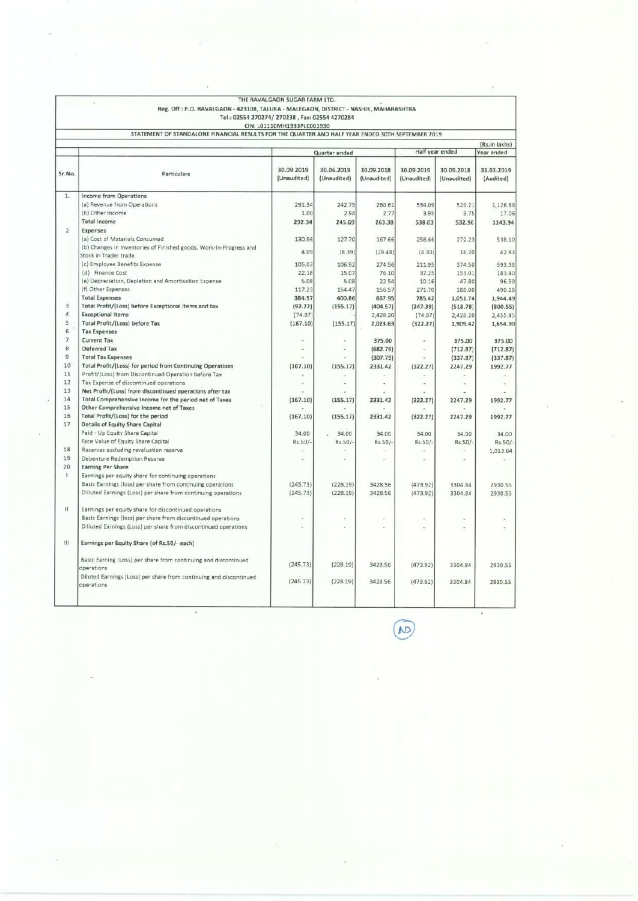|                |                                                                                                   | THE RAVALGAON SUGAR FARM LTD.                  |                           |                           |                           |                           |                         |
|----------------|---------------------------------------------------------------------------------------------------|------------------------------------------------|---------------------------|---------------------------|---------------------------|---------------------------|-------------------------|
|                | Reg. Off : P.O. RAVALGAON - 423108, TALUKA - MALEGAON, DISTRICT - NASHIK, MAHARASHTRA             |                                                |                           |                           |                           |                           |                         |
|                |                                                                                                   | Tel.: 02554 270274/ 270238, Fax: 02554 4270284 |                           |                           |                           |                           |                         |
|                |                                                                                                   | CIN: L01110MH1933PLC001930                     |                           |                           |                           |                           |                         |
|                | STATEMENT OF STANDALONE FINANCIAL RESULTS FOR THE QUARTER AND HALF YEAR ENDED 30TH SEPTEMBER 2019 |                                                |                           |                           |                           |                           |                         |
|                |                                                                                                   |                                                |                           |                           |                           |                           | (Rs.in lakhs)           |
|                |                                                                                                   |                                                | Quarter ended             |                           |                           | Half year ended           | Year ended              |
|                |                                                                                                   |                                                |                           |                           |                           |                           |                         |
| Sr.No.         | Particulars                                                                                       | 30.09.2019<br>(Unaudited)                      | 30.06.2019<br>(Unaudited) | 30.09.2018<br>(Unaudited) | 30.09.2019<br>(Unaudited) | 30.09.2018<br>(Unaudited) | 31.03.2019<br>(Audited) |
|                |                                                                                                   |                                                |                           |                           |                           |                           |                         |
| 1.1            | <b>Income from Operations</b>                                                                     |                                                |                           |                           |                           |                           |                         |
|                | (a) Revenue from Operations                                                                       | 291.34                                         | 242.75                    | 260.61                    | 534.09                    | 529.21                    | 1,126.88                |
|                | (b) Other Income                                                                                  | 1.00                                           | 2.94                      | 2.77                      | 3.95                      | 3.75                      | 17.06                   |
|                | <b>Total Income</b>                                                                               | 292.34                                         | 245.69                    | 263.38                    | 538.03                    | 532.96                    | 1143.94                 |
| $\overline{2}$ | Expenses                                                                                          |                                                |                           |                           |                           |                           |                         |
|                | (a) Cost of Materials Consumed                                                                    | 130.96                                         | 127.70                    | 167.66                    | 258.66                    | 272.23                    | 538.10                  |
|                | (b) Changes in Inventories of Finished goods, Work-in-Progress and<br>Stock in Trader trade       | 4.09                                           | (8.39)                    | (29.48)                   | (4.30)                    | 16.20                     | 42.83                   |
|                | (c) Employee Benefits Expense                                                                     | 105.03                                         | 106.92                    | 274.56                    | 211.95                    | 374.50                    | 593.38                  |
|                | (d) Finance Cost                                                                                  | 22.18                                          | 15.07                     | 76.10                     | 37.25                     | 153.01                    | 183,40                  |
|                | (e) Depreciation, Depletion and Amortisation Expense                                              | 5.08                                           | 5.08                      | 22.54                     | 10.16                     | 47.80                     | 96.59                   |
|                | (f) Other Expenses:                                                                               | 117.23                                         | 154.47                    | 156.57                    | 271.70                    | 188.00                    | 490.18                  |
|                | <b>Total Expenses</b>                                                                             | 384.57                                         | 400.86                    | 667.95                    | 785.42                    | 1,051.74                  | 1,944.49                |
| $\overline{3}$ | Total Profit/(Loss) before Exceptional items and tax                                              | (92.22)                                        | (155.17)                  | (404.57)                  | (247.39)                  | (518.78)                  | (800.55)                |
| 4              | <b>Exceptional Items</b>                                                                          | (74.87)                                        |                           | 2,428.20                  | (74.87)                   | 2,428.20                  | 2,455.45                |
| 5              | Total Profit/(Loss) before Tax                                                                    | (167.10)                                       | (155.17)                  | 2,023.63                  | (322.27)                  | 1,909.42                  | 1,654.90                |
| 6              | <b>Tax Expenses</b>                                                                               |                                                |                           |                           |                           |                           |                         |
| $\overline{7}$ | <b>Current Tax</b>                                                                                |                                                | ÷.                        | 375.00                    | ÷                         | 375.00                    | 375.00                  |
| 8              | Deferred Tax                                                                                      |                                                | ÷                         | (682.79)                  | ÷                         | (712.87)                  | (712.87)                |
| 9              | <b>Total Tax Expenses</b>                                                                         |                                                |                           | (307.79)                  |                           | (337.87)                  | (337.87)                |
| 10             | Total Profit/(Loss) for period from Continuing Operations                                         | (167.10)                                       | (155.17)                  | 2331.42                   | (322.27)                  | 2247.29                   | 1992.77                 |
| 11             | Profit/(Loss) from Discontinued Operation before Tax                                              |                                                |                           |                           |                           |                           |                         |
| 12             | Tax Expense of discontinued operations                                                            |                                                |                           |                           |                           |                           |                         |
| 13             | Net Profit/(Loss) from discontinued operations after tax                                          |                                                |                           |                           |                           |                           |                         |
| 14             | Total Comprehensive Income for the period net of Taxes                                            | (167.10)                                       | (155.17)                  | 2331.42                   | (322.27)                  | 2247.29                   | 1992.77                 |
| 15             | Other Comprehensive Income net of Taxes                                                           |                                                |                           |                           |                           |                           |                         |
| 16             | Total Profit/(Loss) for the period                                                                | (167.10)                                       | (155.17)                  | 2331.42                   | (322.27)                  | 2247.29                   | 1992.77                 |
| 17             | Details of Equity Share Capital                                                                   |                                                |                           |                           |                           |                           |                         |
|                | Paid - Up Equity Share Capital                                                                    | 34.00                                          | 34.00                     | 34.00                     | 34.00                     | 34.00                     | 34.00                   |
|                | Face Value of Equity Share Capital                                                                | Rs.50/-                                        | Rs.50/-                   | Rs.50/-                   | Rs:50/                    | Rs.50/-                   | $Rs.50/-$               |
| 18             | Reserves excluding revaluation reserve                                                            |                                                |                           |                           |                           |                           | 1,013.64                |
| 19             | Debenture Redemption Reserve                                                                      |                                                |                           |                           |                           |                           |                         |
| 20             | <b>Earning Per Share</b>                                                                          |                                                |                           |                           |                           |                           |                         |
| f.             | Earnings per equity share for continuing operations                                               |                                                |                           |                           |                           |                           |                         |
|                | Basic Earnings (loss) per share from continuing operations                                        | (245.73)                                       | (228.19)                  | 3428.56                   | (473.92)                  | 3304.84                   | 2930.55                 |
|                | Dilluted Earnings (Loss) per share from continuing operations                                     | (245.73)                                       | (228.19)                  | 3428.56                   | (473.92)                  | 3304.84                   | 2930.55                 |
| $\mathbf{11}$  | Earnings per equity share for discontinued operations                                             |                                                |                           |                           |                           |                           |                         |
|                | Basic Earnings (loss) per share from discontinued operations                                      |                                                |                           |                           |                           |                           |                         |
|                | Dilluted Earnings (Loss) per share from discontinued operations                                   |                                                |                           |                           |                           |                           |                         |
|                |                                                                                                   |                                                |                           |                           |                           |                           |                         |
| Ш              | Earnings per Equity Share (of Rs.50/- each)                                                       |                                                |                           |                           |                           |                           |                         |
|                | Basic Earning (Loss) per share from continuing and discontinued                                   |                                                |                           |                           |                           |                           |                         |
|                | operations                                                                                        | (245.73)                                       | (228.19)                  | 3428.56                   | (473.92)                  | 3304.84                   | 2930.55                 |
|                | Diluted Earnings (Loss) per share from continuing and discontinued<br>operations                  | (245.73)                                       | (228.19)                  | 3428.56                   | (473.92)                  | 3304.84                   | 2930.55                 |
|                |                                                                                                   |                                                |                           |                           |                           |                           |                         |

4

 $\begin{picture}(20,20) \put(0,0){\line(1,0){10}} \put(15,0){\line(1,0){10}} \put(15,0){\line(1,0){10}} \put(15,0){\line(1,0){10}} \put(15,0){\line(1,0){10}} \put(15,0){\line(1,0){10}} \put(15,0){\line(1,0){10}} \put(15,0){\line(1,0){10}} \put(15,0){\line(1,0){10}} \put(15,0){\line(1,0){10}} \put(15,0){\line(1,0){10}} \put(15,0){\line(1$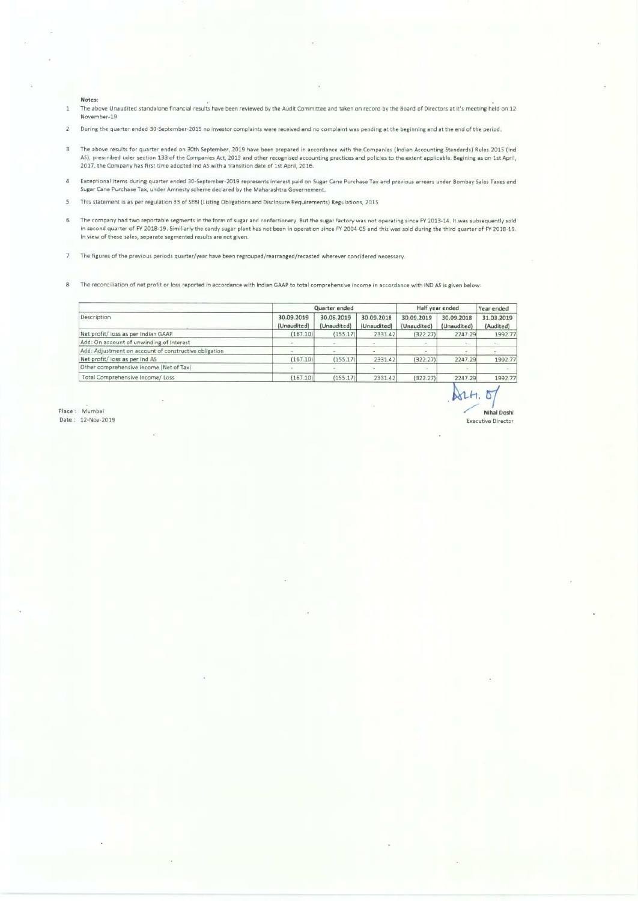- Notes:<br>The above Unaudited standalone financial results have been reviewed by the Audit Committee and taken on record by the Board of Directors at it's meeting held on 12<br>November-19  $\,$   $\,$
- During the quarter ended 30-September-2019 no investor complaints were received and no complaint was pending at the beginning and at the end of the period
- Notes:<br>
The above Unaudited standalone financial results have been reviewed by the Audit<br>
November-19<br>
During the quarter ended 30-September-2019 no investor complaints were receiver<br>
The above results for quarter ended on Notes:<br>
The above Unaudited standalone financial results have been reviewed by the Audit<br>
November-19<br>
During the quarter ended 30-September-2019 no investor complaints were received<br>
The above results for quarter ended on The above results for quarter ended on 30th September, 2019 have been prepared in accordance with the Companies (Indian Accounting Standards) Rules 2015 (Ind.<br>AS), prescribed uder section 133 of the Companies Act, 2013 and  $\overline{a}$
- $\overline{\mathbf{4}}$ Exceptional items during quarter ended 30-September-2019 represents interest paid on Sugar Cane Purchase Tax and previous arrears under Bombay Sales Taxes and<br>Sugar Cane Purchase Tax, under Amnesty scheme declared by the M
- $\overline{\mathsf{s}}$ 'This statement is as per regulation 33 of SEBI (Listing Obligations and Disclosure Requirements) Regulations, 2015
- $\overline{6}$ The company had two reportable segments in the form of sugar and confectionery. But the sugar factory was not operating since FY 2013-14. It was subsequently sold in second quarter of FY 2018-19. In view of these sales, se
- $\overline{7}$ 'The figures of the previous periods quarter/year have been regrouped/rearranged/recasted wherever considered necessary.
- $\overline{8}$ The reconciliation of net profit or loss reported in accordance with Indian GAAP to total comprehensive income in accordance with IND AS is given below:

| Notes:<br>The above Unaudited standalone financial results have been reviewed by the Audit Committee and taken on record by the Board of Directors at it's meeting held on 12-                                                                                                                                                                                                                                                        |                                      |                           |                           |                         |                        |                      |
|---------------------------------------------------------------------------------------------------------------------------------------------------------------------------------------------------------------------------------------------------------------------------------------------------------------------------------------------------------------------------------------------------------------------------------------|--------------------------------------|---------------------------|---------------------------|-------------------------|------------------------|----------------------|
| November-19                                                                                                                                                                                                                                                                                                                                                                                                                           |                                      |                           |                           |                         |                        |                      |
| During the quarter ended 30-September-2019 no investor complaints were received and no complaint was pending at the beginning and at the end of the period.                                                                                                                                                                                                                                                                           |                                      |                           |                           |                         |                        |                      |
| The above results for quarter ended on 30th September, 2019 have been prepared in accordance with the Companies (Indian Accounting Standards) Rules 2015 (Ind<br>AS), prescribed uder section 133 of the Companies Act, 2013 and other recognised accounting practices and policies to the extent applicable. Begining as on 1st April,<br>2017, the Company has first time adopted Ind AS with a transition date of 1st April, 2016. |                                      |                           |                           |                         |                        |                      |
| Exceptional items during quarter ended 30-September-2019 represents interest paid on Sugar Cane Purchase Tax and previous arrears under Bombay Sales Taxes and<br>Sugar Cane Purchase Tax, under Amnesty scheme declared by the Maharashtra Governement.                                                                                                                                                                              |                                      |                           |                           |                         |                        |                      |
| This statement is as per regulation 33 of SEBI (Listing Obligations and Disclosure Requirements) Regulations, 2015                                                                                                                                                                                                                                                                                                                    |                                      |                           |                           |                         |                        |                      |
|                                                                                                                                                                                                                                                                                                                                                                                                                                       |                                      |                           |                           |                         |                        |                      |
| in second quarter of FY 2018-19. Similiarly the candy sugar plant has not been in operation since FY 2004-05 and this was sold during the third quarter of FY 2018-19.<br>In view of these sales, separate segmented results are not given.                                                                                                                                                                                           |                                      |                           |                           |                         |                        |                      |
| The company had two reportable segments in the form of sugar and confectionery. But the sugar factory was not operating since FY 2013-14. It was subsequently sold<br>The figures of the previous periods quarter/year have been regrouped/rearranged/recasted wherever considered necessary.                                                                                                                                         |                                      |                           |                           |                         |                        |                      |
|                                                                                                                                                                                                                                                                                                                                                                                                                                       |                                      |                           |                           |                         |                        |                      |
| The reconciliation of net profit or loss reported in accordance with Indian GAAP to total comprehensive income in accordance with IND AS is given below:                                                                                                                                                                                                                                                                              |                                      | Quarter ended             |                           |                         | Half year ended        | Year ended           |
| Description                                                                                                                                                                                                                                                                                                                                                                                                                           | 30.09.2019<br>(Unaudited)            | 30.06.2019<br>(Unaudited) | 30.09.2018<br>(Unaudited) | 30.09.2019              | 30.09.2018             | 31.03.2019           |
|                                                                                                                                                                                                                                                                                                                                                                                                                                       | (167.10)                             | (155.17)                  | 2331.42                   | (Unaudited)<br>(322.27) | (Unaudited)<br>2247.29 | (Audited)<br>1992.77 |
|                                                                                                                                                                                                                                                                                                                                                                                                                                       | $\sim$                               | ÷                         | ä,                        | s.                      |                        | ÷                    |
|                                                                                                                                                                                                                                                                                                                                                                                                                                       |                                      | $\sim$                    | u,                        | ×                       | $\equiv$               | $\equiv$             |
| Net profit/ loss as per Indian GAAP<br>Add: On account of unwinding of Interest<br>Add: Adjustment on account of constructive obligation<br>Net profit/ loss as per Ind AS                                                                                                                                                                                                                                                            | (167.10)                             | (155.17)                  | 2331.42                   | (322.27)                | 2247.29                | 1992.77              |
| Other comprehensive income (Net of Tax)<br>Total Comprehensive Income/ Loss                                                                                                                                                                                                                                                                                                                                                           | $\overline{\phantom{a}}$<br>(167.10) | $\sim$<br>(155.17)        | $\sim$<br>2331.42         | ×<br>(322.27)           | ç<br>2247.29           | 1992.77              |

 $ATH.5$ Mumbai **inal Doshi inal Doshi inal Doshi inal Doshi inal Doshi inal Doshi inal Doshi inal Doshi inal Doshi inal Dosh** Executive Director

Place: Mumbai<br>Date: 12-Nov-2019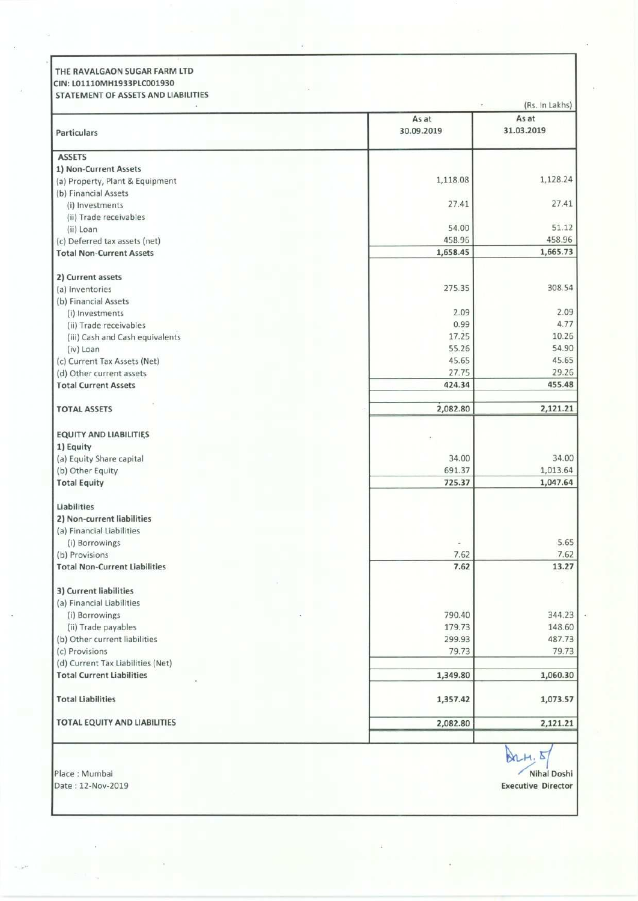|            | (Rs. In Lakhs)                                                                                   |
|------------|--------------------------------------------------------------------------------------------------|
| As at      | As at                                                                                            |
| 30.09.2019 | 31.03.2019                                                                                       |
|            |                                                                                                  |
|            | 1,128.24                                                                                         |
|            |                                                                                                  |
| 27.41      | 27.41                                                                                            |
| 54.00      | 51.12                                                                                            |
| 458.96     | 458.96<br>1,665.73                                                                               |
|            |                                                                                                  |
|            | 308.54                                                                                           |
|            |                                                                                                  |
| 2.09       | 2.09<br>4.77                                                                                     |
| 17.25      | 10.26                                                                                            |
| 55.26      | 54.90<br>45.65                                                                                   |
| 27.75      | 29.26                                                                                            |
| 424.34     | 455.48                                                                                           |
| 2,082.80   | 2,121.21                                                                                         |
|            |                                                                                                  |
|            |                                                                                                  |
|            | 34.00<br>1,013.64                                                                                |
| 725.37     | 1,047.64                                                                                         |
|            |                                                                                                  |
|            |                                                                                                  |
|            | 5.65                                                                                             |
| 7.62       | 7.62                                                                                             |
|            | 13.27                                                                                            |
|            |                                                                                                  |
| 790.40     | 344.23                                                                                           |
| 179.73     | 148.60<br>487.73                                                                                 |
| 79.73      | 79.73                                                                                            |
|            | 1,060.30                                                                                         |
|            |                                                                                                  |
| 1,357.42   | 1,073.57                                                                                         |
| 2,082.80   | 2,121.21                                                                                         |
|            |                                                                                                  |
|            | $\Delta$ 2 $H, E$                                                                                |
|            | Nihal Doshi                                                                                      |
|            | 1,118.08<br>1,658.45<br>275.35<br>0.99<br>45.65<br>34.00<br>691.37<br>7.62<br>299.93<br>1,349.80 |